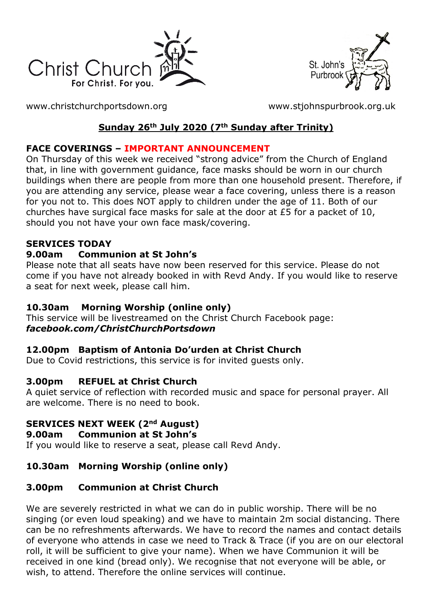



[www.christchurchportsdown.org](http://www.christchurchportsdown.org/) [www.stjohnspurbrook.org.uk](http://www.stjohnspurbrook.org.uk/)

### **Sunday 26th July 2020 (7th Sunday after Trinity)**

### **FACE COVERINGS – IMPORTANT ANNOUNCEMENT**

On Thursday of this week we received "strong advice" from the Church of England that, in line with government guidance, face masks should be worn in our church buildings when there are people from more than one household present. Therefore, if you are attending any service, please wear a face covering, unless there is a reason for you not to. This does NOT apply to children under the age of 11. Both of our churches have surgical face masks for sale at the door at £5 for a packet of 10, should you not have your own face mask/covering.

### **SERVICES TODAY**

#### **9.00am Communion at St John's**

Please note that all seats have now been reserved for this service. Please do not come if you have not already booked in with Revd Andy. If you would like to reserve a seat for next week, please call him.

### **10.30am Morning Worship (online only)**

This service will be livestreamed on the Christ Church Facebook page: *[facebook.com/ChristChurchPortsdown](http://www.facebook.com/ChristChurchPortsdown%20at%2010.30)*

### **12.00pm Baptism of Antonia Do'urden at Christ Church**

Due to Covid restrictions, this service is for invited guests only.

### **3.00pm REFUEL at Christ Church**

A quiet service of reflection with recorded music and space for personal prayer. All are welcome. There is no need to book.

### **SERVICES NEXT WEEK (2nd August)**

#### **9.00am Communion at St John's**

If you would like to reserve a seat, please call Revd Andy.

### **10.30am Morning Worship (online only)**

### **3.00pm Communion at Christ Church**

We are severely restricted in what we can do in public worship. There will be no singing (or even loud speaking) and we have to maintain 2m social distancing. There can be no refreshments afterwards. We have to record the names and contact details of everyone who attends in case we need to Track & Trace (if you are on our electoral roll, it will be sufficient to give your name). When we have Communion it will be received in one kind (bread only). We recognise that not everyone will be able, or wish, to attend. Therefore the online services will continue.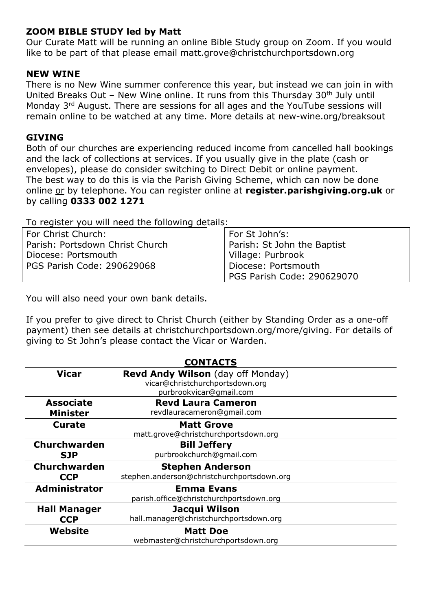#### **ZOOM BIBLE STUDY led by Matt**

Our Curate Matt will be running an online Bible Study group on Zoom. If you would like to be part of that please email [matt.grove@christchurchportsdown.org](mailto:matt.grove@christchurchportsdown.org)

#### **NEW WINE**

There is no New Wine summer conference this year, but instead we can join in with United Breaks Out – New Wine online. It runs from this Thursday  $30<sup>th</sup>$  July until Monday 3rd August. There are sessions for all ages and the YouTube sessions will remain online to be watched at any time. More details at new-wine.org/breaksout

#### **GIVING**

Both of our churches are experiencing reduced income from cancelled hall bookings and the lack of collections at services. If you usually give in the plate (cash or envelopes), please do consider switching to Direct Debit or online payment. The best way to do this is via the Parish Giving Scheme, which can now be done online or by telephone. You can register online at **register.parishgiving.org.uk** or by calling **0333 002 1271**

To register you will need the following details:

For Christ Church: Parish: Portsdown Christ Church Diocese: Portsmouth PGS Parish Code: 290629068

For St John's: Parish: St John the Baptist Village: Purbrook Diocese: Portsmouth PGS Parish Code: 290629070

You will also need your own bank details.

If you prefer to give direct to Christ Church (either by Standing Order as a one-off payment) then see details at christchurchportsdown.org/more/giving. For details of giving to St John's please contact the Vicar or Warden.

| <b>CONTACTS</b>      |                                            |
|----------------------|--------------------------------------------|
| <b>Vicar</b>         | <b>Revd Andy Wilson</b> (day off Monday)   |
|                      | vicar@christchurchportsdown.org            |
|                      | purbrookvicar@gmail.com                    |
| <b>Associate</b>     | <b>Revd Laura Cameron</b>                  |
| <b>Minister</b>      | revdlauracameron@gmail.com                 |
| <b>Curate</b>        | <b>Matt Grove</b>                          |
|                      | matt.grove@christchurchportsdown.org       |
| <b>Churchwarden</b>  | <b>Bill Jeffery</b>                        |
| <b>SJP</b>           | purbrookchurch@gmail.com                   |
| <b>Churchwarden</b>  | <b>Stephen Anderson</b>                    |
| <b>CCP</b>           | stephen.anderson@christchurchportsdown.org |
| <b>Administrator</b> | <b>Emma Evans</b>                          |
|                      | parish.office@christchurchportsdown.org    |
| <b>Hall Manager</b>  | Jacqui Wilson                              |
| <b>CCP</b>           | hall.manager@christchurchportsdown.org     |
| Website              | <b>Matt Doe</b>                            |
|                      | webmaster@christchurchportsdown.org        |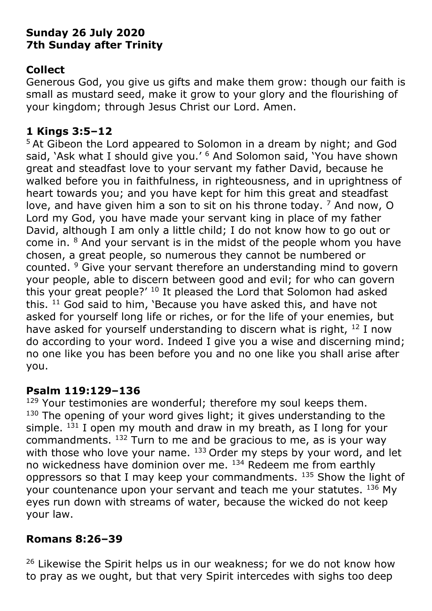# **Sunday 26 July 2020 7th Sunday after Trinity**

# **Collect**

Generous God, you give us gifts and make them grow: though our faith is small as mustard seed, make it grow to your glory and the flourishing of your kingdom; through Jesus Christ our Lord. Amen.

### **1 Kings 3:5–12**

<sup>5</sup> At Gibeon the Lord appeared to Solomon in a dream by night; and God said, 'Ask what I should give you.' <sup>6</sup> And Solomon said, 'You have shown great and steadfast love to your servant my father David, because he walked before you in faithfulness, in righteousness, and in uprightness of heart towards you; and you have kept for him this great and steadfast love, and have given him a son to sit on his throne today. <sup>7</sup> And now, O Lord my God, you have made your servant king in place of my father David, although I am only a little child; I do not know how to go out or come in. <sup>8</sup> And your servant is in the midst of the people whom you have chosen, a great people, so numerous they cannot be numbered or counted. <sup>9</sup> Give your servant therefore an understanding mind to govern your people, able to discern between good and evil; for who can govern this your great people?' <sup>10</sup> It pleased the Lord that Solomon had asked this. <sup>11</sup> God said to him, 'Because you have asked this, and have not asked for yourself long life or riches, or for the life of your enemies, but have asked for yourself understanding to discern what is right, <sup>12</sup> I now do according to your word. Indeed I give you a wise and discerning mind; no one like you has been before you and no one like you shall arise after you.

# **Psalm 119:129–136**

 $129$  Your testimonies are wonderful; therefore my soul keeps them.  $130$  The opening of your word gives light; it gives understanding to the simple.  $131$  I open my mouth and draw in my breath, as I long for your commandments.  $132$  Turn to me and be gracious to me, as is your way with those who love your name.  $133$  Order my steps by your word, and let no wickedness have dominion over me. <sup>134</sup> Redeem me from earthly oppressors so that I may keep your commandments.  $135$  Show the light of your countenance upon your servant and teach me your statutes. 136 My eyes run down with streams of water, because the wicked do not keep your law.

# **Romans 8:26–39**

<sup>26</sup> Likewise the Spirit helps us in our weakness; for we do not know how to pray as we ought, but that very Spirit intercedes with sighs too deep